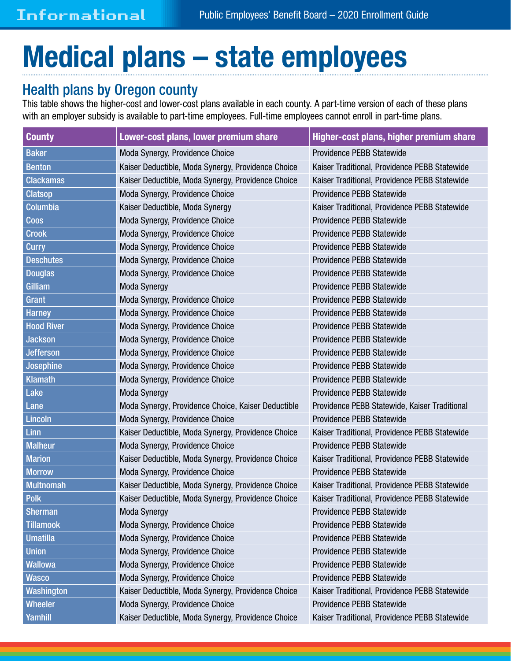## Medical plans – state employees

## Health plans by Oregon county

This table shows the higher-cost and lower-cost plans available in each county. A part-time version of each of these plans with an employer subsidy is available to part-time employees. Full-time employees cannot enroll in part-time plans.

| <b>County</b>     | Lower-cost plans, lower premium share                                                               | Higher-cost plans, higher premium share       |  |
|-------------------|-----------------------------------------------------------------------------------------------------|-----------------------------------------------|--|
| <b>Baker</b>      | Providence PEBB Statewide<br>Moda Synergy, Providence Choice                                        |                                               |  |
| <b>Benton</b>     | Kaiser Traditional, Providence PEBB Statewide<br>Kaiser Deductible, Moda Synergy, Providence Choice |                                               |  |
| <b>Clackamas</b>  | Kaiser Deductible, Moda Synergy, Providence Choice                                                  | Kaiser Traditional, Providence PEBB Statewide |  |
| <b>Clatsop</b>    | Moda Synergy, Providence Choice                                                                     | Providence PEBB Statewide                     |  |
| <b>Columbia</b>   | Kaiser Deductible, Moda Synergy                                                                     | Kaiser Traditional, Providence PEBB Statewide |  |
| <b>Coos</b>       | Moda Synergy, Providence Choice                                                                     | Providence PEBB Statewide                     |  |
| <b>Crook</b>      | Moda Synergy, Providence Choice                                                                     | Providence PEBB Statewide                     |  |
| <b>Curry</b>      | Moda Synergy, Providence Choice<br>Providence PEBB Statewide                                        |                                               |  |
| <b>Deschutes</b>  | Providence PEBB Statewide<br>Moda Synergy, Providence Choice                                        |                                               |  |
| <b>Douglas</b>    | Moda Synergy, Providence Choice                                                                     | Providence PEBB Statewide                     |  |
| Gilliam           | <b>Moda Synergy</b>                                                                                 | Providence PEBB Statewide                     |  |
| Grant             | Providence PEBB Statewide<br>Moda Synergy, Providence Choice                                        |                                               |  |
| <b>Harney</b>     | Providence PEBB Statewide<br>Moda Synergy, Providence Choice                                        |                                               |  |
| <b>Hood River</b> | Providence PEBB Statewide<br>Moda Synergy, Providence Choice                                        |                                               |  |
| <b>Jackson</b>    | Providence PEBB Statewide<br>Moda Synergy, Providence Choice                                        |                                               |  |
| <b>Jefferson</b>  | Providence PEBB Statewide<br>Moda Synergy, Providence Choice                                        |                                               |  |
| <b>Josephine</b>  | Providence PEBB Statewide<br>Moda Synergy, Providence Choice                                        |                                               |  |
| <b>Klamath</b>    | Providence PEBB Statewide<br>Moda Synergy, Providence Choice                                        |                                               |  |
| Lake              | <b>Moda Synergy</b>                                                                                 | Providence PEBB Statewide                     |  |
| Lane              | Moda Synergy, Providence Choice, Kaiser Deductible<br>Providence PEBB Statewide, Kaiser Traditional |                                               |  |
| <b>Lincoln</b>    | Providence PEBB Statewide<br>Moda Synergy, Providence Choice                                        |                                               |  |
| Linn              | Kaiser Deductible, Moda Synergy, Providence Choice<br>Kaiser Traditional, Providence PEBB Statewide |                                               |  |
| <b>Malheur</b>    | Moda Synergy, Providence Choice<br>Providence PEBB Statewide                                        |                                               |  |
| <b>Marion</b>     | Kaiser Deductible, Moda Synergy, Providence Choice<br>Kaiser Traditional, Providence PEBB Statewide |                                               |  |
| <b>Morrow</b>     | Moda Synergy, Providence Choice<br>Providence PEBB Statewide                                        |                                               |  |
| <b>Multnomah</b>  | Kaiser Traditional, Providence PEBB Statewide<br>Kaiser Deductible, Moda Synergy, Providence Choice |                                               |  |
| <b>Polk</b>       | Kaiser Deductible, Moda Synergy, Providence Choice<br>Kaiser Traditional, Providence PEBB Statewide |                                               |  |
| <b>Sherman</b>    | <b>Moda Synergy</b><br>Providence PEBB Statewide                                                    |                                               |  |
| <b>Tillamook</b>  | Moda Synergy, Providence Choice<br>Providence PEBB Statewide                                        |                                               |  |
| <b>Umatilla</b>   | Moda Synergy, Providence Choice<br>Providence PEBB Statewide                                        |                                               |  |
| <b>Union</b>      | Moda Synergy, Providence Choice<br>Providence PEBB Statewide                                        |                                               |  |
| <b>Wallowa</b>    | Moda Synergy, Providence Choice<br>Providence PEBB Statewide                                        |                                               |  |
| <b>Wasco</b>      | Providence PEBB Statewide<br>Moda Synergy, Providence Choice                                        |                                               |  |
| <b>Washington</b> | Kaiser Deductible, Moda Synergy, Providence Choice<br>Kaiser Traditional, Providence PEBB Statewide |                                               |  |
| <b>Wheeler</b>    | Moda Synergy, Providence Choice<br>Providence PEBB Statewide                                        |                                               |  |
| <b>Yamhill</b>    | Kaiser Deductible, Moda Synergy, Providence Choice<br>Kaiser Traditional, Providence PEBB Statewide |                                               |  |